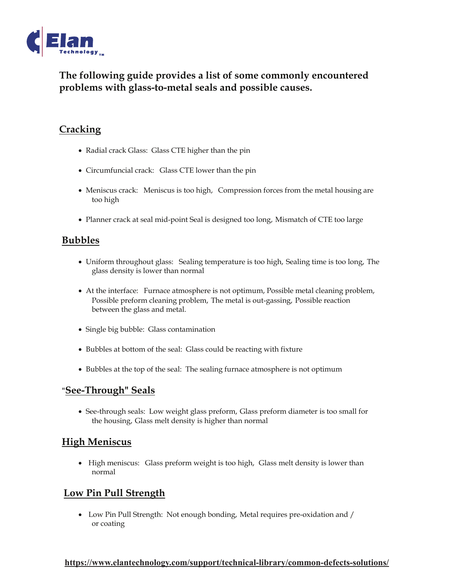

# **The following guide provides a list of some commonly encountered problems with glass-to-metal seals and possible causes.**

### **Cracking**

- Radial crack Glass: Glass CTE higher than the pin
- Circumfuncial crack: Glass CTE lower than the pin
- Meniscus crack: Meniscus is too high, Compression forces from the metal housing are too high
- Planner crack at seal mid-point Seal is designed too long, Mismatch of CTE too large

### **Bubbles**

- Uniform throughout glass: Sealing temperature is too high, Sealing time is too long, The glass density is lower than normal
- At the interface: Furnace atmosphere is not optimum, Possible metal cleaning problem, Possible preform cleaning problem, The metal is out-gassing, Possible reaction between the glass and metal.
- Single big bubble: Glass contamination
- Bubbles at bottom of the seal: Glass could be reacting with fixture
- Bubbles at the top of the seal: The sealing furnace atmosphere is not optimum

#### "**See-Through" Seals**

• See-through seals: Low weight glass preform, Glass preform diameter is too small for the housing, Glass melt density is higher than normal

#### **High Meniscus**

• High meniscus: Glass preform weight is too high, Glass melt density is lower than normal

### **Low Pin Pull Strength**

• Low Pin Pull Strength: Not enough bonding, Metal requires pre-oxidation and / or coating